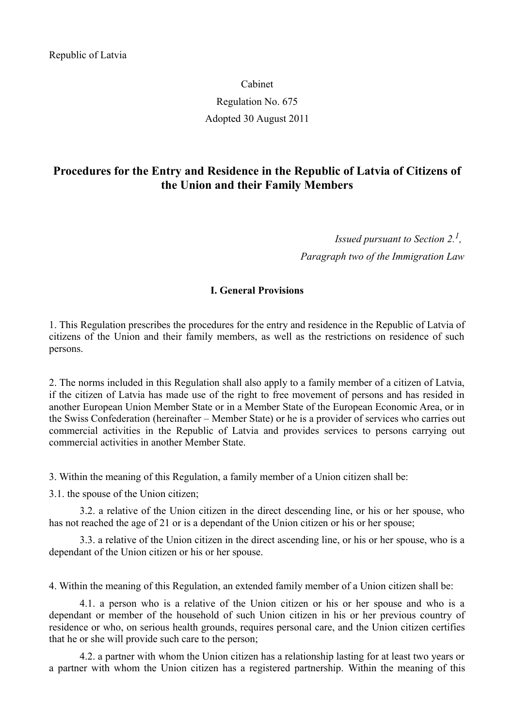# Cabinet Regulation No. 675 Adopted 30 August 2011

## **Procedures for the Entry and Residence in the Republic of Latvia of Citizens of the Union and their Family Members**

*Issued pursuant to Section 2.<sup>1</sup> , Paragraph two of the Immigration Law*

#### **I. General Provisions**

1. This Regulation prescribes the procedures for the entry and residence in the Republic of Latvia of citizens of the Union and their family members, as well as the restrictions on residence of such persons.

2. The norms included in this Regulation shall also apply to a family member of a citizen of Latvia, if the citizen of Latvia has made use of the right to free movement of persons and has resided in another European Union Member State or in a Member State of the European Economic Area, or in the Swiss Confederation (hereinafter – Member State) or he is a provider of services who carries out commercial activities in the Republic of Latvia and provides services to persons carrying out commercial activities in another Member State.

3. Within the meaning of this Regulation, a family member of a Union citizen shall be:

3.1. the spouse of the Union citizen;

3.2. a relative of the Union citizen in the direct descending line, or his or her spouse, who has not reached the age of 21 or is a dependant of the Union citizen or his or her spouse;

3.3. a relative of the Union citizen in the direct ascending line, or his or her spouse, who is a dependant of the Union citizen or his or her spouse.

4. Within the meaning of this Regulation, an extended family member of a Union citizen shall be:

4.1. a person who is a relative of the Union citizen or his or her spouse and who is a dependant or member of the household of such Union citizen in his or her previous country of residence or who, on serious health grounds, requires personal care, and the Union citizen certifies that he or she will provide such care to the person;

4.2. a partner with whom the Union citizen has a relationship lasting for at least two years or a partner with whom the Union citizen has a registered partnership. Within the meaning of this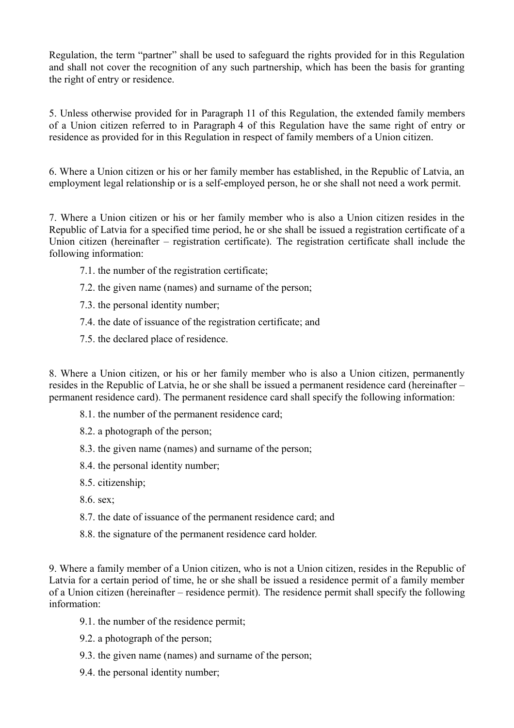Regulation, the term "partner" shall be used to safeguard the rights provided for in this Regulation and shall not cover the recognition of any such partnership, which has been the basis for granting the right of entry or residence.

5. Unless otherwise provided for in Paragraph 11 of this Regulation, the extended family members of a Union citizen referred to in Paragraph 4 of this Regulation have the same right of entry or residence as provided for in this Regulation in respect of family members of a Union citizen.

6. Where a Union citizen or his or her family member has established, in the Republic of Latvia, an employment legal relationship or is a self-employed person, he or she shall not need a work permit.

7. Where a Union citizen or his or her family member who is also a Union citizen resides in the Republic of Latvia for a specified time period, he or she shall be issued a registration certificate of a Union citizen (hereinafter – registration certificate). The registration certificate shall include the following information:

- 7.1. the number of the registration certificate;
- 7.2. the given name (names) and surname of the person;
- 7.3. the personal identity number;
- 7.4. the date of issuance of the registration certificate; and
- 7.5. the declared place of residence.

8. Where a Union citizen, or his or her family member who is also a Union citizen, permanently resides in the Republic of Latvia, he or she shall be issued a permanent residence card (hereinafter – permanent residence card). The permanent residence card shall specify the following information:

- 8.1. the number of the permanent residence card;
- 8.2. a photograph of the person;
- 8.3. the given name (names) and surname of the person;
- 8.4. the personal identity number;
- 8.5. citizenship;
- 8.6. sex;
- 8.7. the date of issuance of the permanent residence card; and
- 8.8. the signature of the permanent residence card holder.

9. Where a family member of a Union citizen, who is not a Union citizen, resides in the Republic of Latvia for a certain period of time, he or she shall be issued a residence permit of a family member of a Union citizen (hereinafter – residence permit). The residence permit shall specify the following information:

- 9.1. the number of the residence permit;
- 9.2. a photograph of the person;
- 9.3. the given name (names) and surname of the person;
- 9.4. the personal identity number;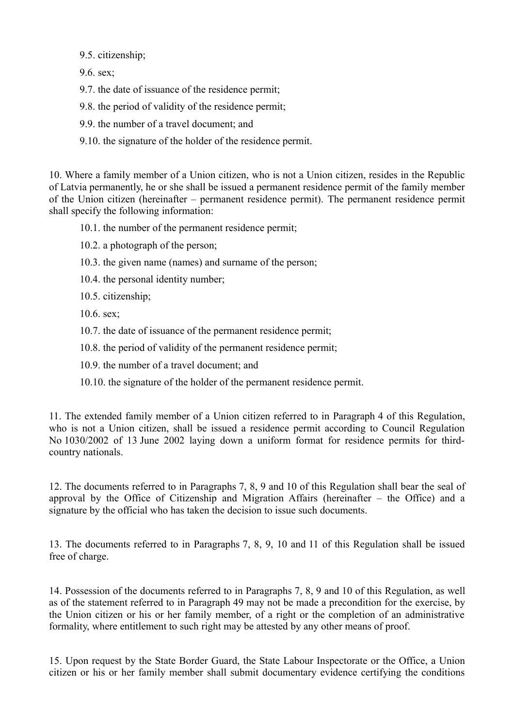9.5. citizenship;

9.6. sex;

9.7. the date of issuance of the residence permit;

9.8. the period of validity of the residence permit;

9.9. the number of a travel document; and

9.10. the signature of the holder of the residence permit.

10. Where a family member of a Union citizen, who is not a Union citizen, resides in the Republic of Latvia permanently, he or she shall be issued a permanent residence permit of the family member of the Union citizen (hereinafter – permanent residence permit). The permanent residence permit shall specify the following information:

10.1. the number of the permanent residence permit;

10.2. a photograph of the person;

10.3. the given name (names) and surname of the person;

10.4. the personal identity number;

10.5. citizenship;

10.6. sex;

10.7. the date of issuance of the permanent residence permit;

10.8. the period of validity of the permanent residence permit;

10.9. the number of a travel document; and

10.10. the signature of the holder of the permanent residence permit.

11. The extended family member of a Union citizen referred to in Paragraph 4 of this Regulation, who is not a Union citizen, shall be issued a residence permit according to Council Regulation No 1030/2002 of 13 June 2002 laying down a uniform format for residence permits for thirdcountry nationals.

12. The documents referred to in Paragraphs 7, 8, 9 and 10 of this Regulation shall bear the seal of approval by the Office of Citizenship and Migration Affairs (hereinafter – the Office) and a signature by the official who has taken the decision to issue such documents.

13. The documents referred to in Paragraphs 7, 8, 9, 10 and 11 of this Regulation shall be issued free of charge.

14. Possession of the documents referred to in Paragraphs 7, 8, 9 and 10 of this Regulation, as well as of the statement referred to in Paragraph 49 may not be made a precondition for the exercise, by the Union citizen or his or her family member, of a right or the completion of an administrative formality, where entitlement to such right may be attested by any other means of proof.

15. Upon request by the State Border Guard, the State Labour Inspectorate or the Office, a Union citizen or his or her family member shall submit documentary evidence certifying the conditions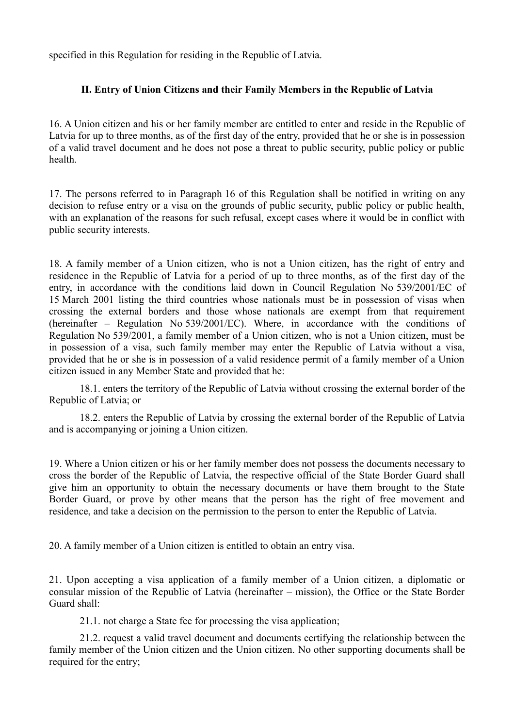specified in this Regulation for residing in the Republic of Latvia.

## **II. Entry of Union Citizens and their Family Members in the Republic of Latvia**

16. A Union citizen and his or her family member are entitled to enter and reside in the Republic of Latvia for up to three months, as of the first day of the entry, provided that he or she is in possession of a valid travel document and he does not pose a threat to public security, public policy or public health.

17. The persons referred to in Paragraph 16 of this Regulation shall be notified in writing on any decision to refuse entry or a visa on the grounds of public security, public policy or public health, with an explanation of the reasons for such refusal, except cases where it would be in conflict with public security interests.

18. A family member of a Union citizen, who is not a Union citizen, has the right of entry and residence in the Republic of Latvia for a period of up to three months, as of the first day of the entry, in accordance with the conditions laid down in Council Regulation No 539/2001/EC of 15 March 2001 listing the third countries whose nationals must be in possession of visas when crossing the external borders and those whose nationals are exempt from that requirement (hereinafter – Regulation No 539/2001/EC). Where, in accordance with the conditions of Regulation No 539/2001, a family member of a Union citizen, who is not a Union citizen, must be in possession of a visa, such family member may enter the Republic of Latvia without a visa, provided that he or she is in possession of a valid residence permit of a family member of a Union citizen issued in any Member State and provided that he:

18.1. enters the territory of the Republic of Latvia without crossing the external border of the Republic of Latvia; or

18.2. enters the Republic of Latvia by crossing the external border of the Republic of Latvia and is accompanying or joining a Union citizen.

19. Where a Union citizen or his or her family member does not possess the documents necessary to cross the border of the Republic of Latvia, the respective official of the State Border Guard shall give him an opportunity to obtain the necessary documents or have them brought to the State Border Guard, or prove by other means that the person has the right of free movement and residence, and take a decision on the permission to the person to enter the Republic of Latvia.

20. A family member of a Union citizen is entitled to obtain an entry visa.

21. Upon accepting a visa application of a family member of a Union citizen, a diplomatic or consular mission of the Republic of Latvia (hereinafter – mission), the Office or the State Border Guard shall:

21.1. not charge a State fee for processing the visa application;

21.2. request a valid travel document and documents certifying the relationship between the family member of the Union citizen and the Union citizen. No other supporting documents shall be required for the entry;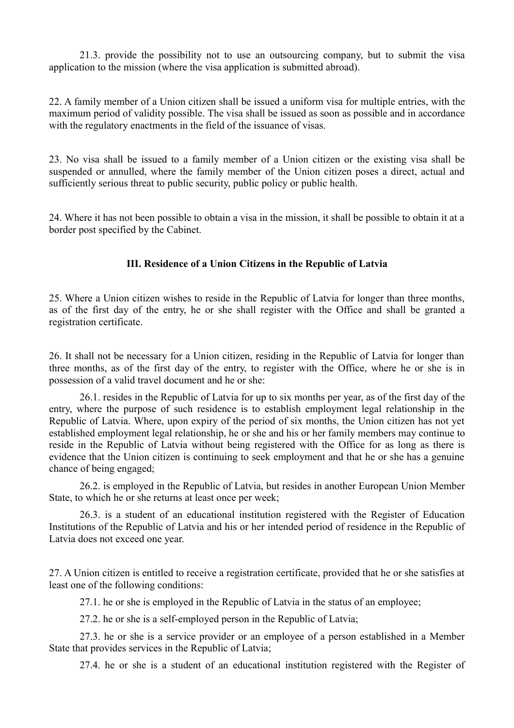21.3. provide the possibility not to use an outsourcing company, but to submit the visa application to the mission (where the visa application is submitted abroad).

22. A family member of a Union citizen shall be issued a uniform visa for multiple entries, with the maximum period of validity possible. The visa shall be issued as soon as possible and in accordance with the regulatory enactments in the field of the issuance of visas.

23. No visa shall be issued to a family member of a Union citizen or the existing visa shall be suspended or annulled, where the family member of the Union citizen poses a direct, actual and sufficiently serious threat to public security, public policy or public health.

24. Where it has not been possible to obtain a visa in the mission, it shall be possible to obtain it at a border post specified by the Cabinet.

## **III. Residence of a Union Citizens in the Republic of Latvia**

25. Where a Union citizen wishes to reside in the Republic of Latvia for longer than three months, as of the first day of the entry, he or she shall register with the Office and shall be granted a registration certificate.

26. It shall not be necessary for a Union citizen, residing in the Republic of Latvia for longer than three months, as of the first day of the entry, to register with the Office, where he or she is in possession of a valid travel document and he or she:

26.1. resides in the Republic of Latvia for up to six months per year, as of the first day of the entry, where the purpose of such residence is to establish employment legal relationship in the Republic of Latvia. Where, upon expiry of the period of six months, the Union citizen has not yet established employment legal relationship, he or she and his or her family members may continue to reside in the Republic of Latvia without being registered with the Office for as long as there is evidence that the Union citizen is continuing to seek employment and that he or she has a genuine chance of being engaged;

26.2. is employed in the Republic of Latvia, but resides in another European Union Member State, to which he or she returns at least once per week;

26.3. is a student of an educational institution registered with the Register of Education Institutions of the Republic of Latvia and his or her intended period of residence in the Republic of Latvia does not exceed one year.

27. A Union citizen is entitled to receive a registration certificate, provided that he or she satisfies at least one of the following conditions:

27.1. he or she is employed in the Republic of Latvia in the status of an employee;

27.2. he or she is a self-employed person in the Republic of Latvia;

27.3. he or she is a service provider or an employee of a person established in a Member State that provides services in the Republic of Latvia;

27.4. he or she is a student of an educational institution registered with the Register of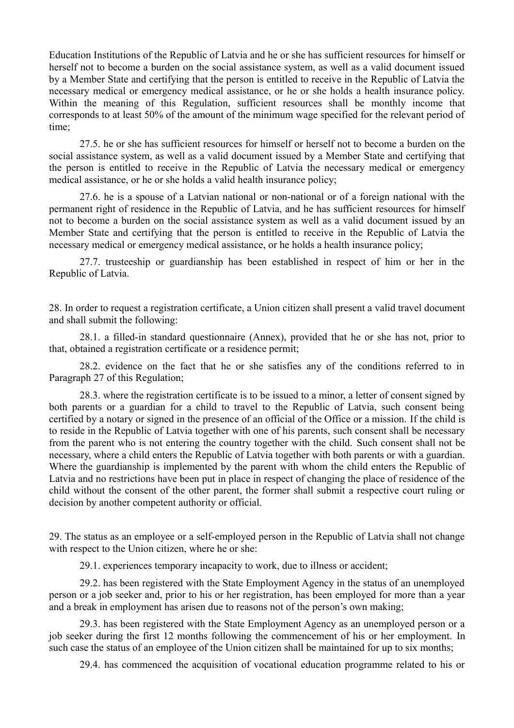Education Institutions of the Republic of Latvia and he or she has sufficient resources for himself or herself not to become a burden on the social assistance system, as well as a valid document issued by a Member State and certifying that the person is entitled to receive in the Republic of Latvia the necessary medical or emergency medical assistance, or he or she holds a health insurance policy. Within the meaning of this Regulation, sufficient resources shall be monthly income that corresponds to at least 50% of the amount of the minimum wage specified for the relevant period of time;

27.5. he or she has sufficient resources for himself or herself not to become a burden on the social assistance system, as well as a valid document issued by a Member State and certifying that the person is entitled to receive in the Republic of Latvia the necessary medical or emergency medical assistance, or he or she holds a valid health insurance policy;

27.6. he is a spouse of a Latvian national or non-national or of a foreign national with the permanent right of residence in the Republic of Latvia, and he has sufficient resources for himself not to become a burden on the social assistance system as well as a valid document issued by an Member State and certifying that the person is entitled to receive in the Republic of Latvia the necessary medical or emergency medical assistance, or he holds a health insurance policy;

27.7. trusteeship or guardianship has been established in respect of him or her in the Republic of Latvia.

28. In order to request a registration certificate, a Union citizen shall present a valid travel document and shall submit the following:

28.1. a filled-in standard questionnaire (Annex), provided that he or she has not, prior to that, obtained a registration certificate or a residence permit;

28.2. evidence on the fact that he or she satisfies any of the conditions referred to in Paragraph 27 of this Regulation;

28.3. where the registration certificate is to be issued to a minor, a letter of consent signed by both parents or a guardian for a child to travel to the Republic of Latvia, such consent being certified by a notary or signed in the presence of an official of the Office or a mission. If the child is to reside in the Republic of Latvia together with one of his parents, such consent shall be necessary from the parent who is not entering the country together with the child. Such consent shall not be necessary, where a child enters the Republic of Latvia together with both parents or with a guardian. Where the guardianship is implemented by the parent with whom the child enters the Republic of Latvia and no restrictions have been put in place in respect of changing the place of residence of the child without the consent of the other parent, the former shall submit a respective court ruling or decision by another competent authority or official.

29. The status as an employee or a self-employed person in the Republic of Latvia shall not change with respect to the Union citizen, where he or she:

29.1. experiences temporary incapacity to work, due to illness or accident;

29.2. has been registered with the State Employment Agency in the status of an unemployed person or a job seeker and, prior to his or her registration, has been employed for more than a year and a break in employment has arisen due to reasons not of the person's own making;

29.3. has been registered with the State Employment Agency as an unemployed person or a job seeker during the first 12 months following the commencement of his or her employment. In such case the status of an employee of the Union citizen shall be maintained for up to six months;

29.4. has commenced the acquisition of vocational education programme related to his or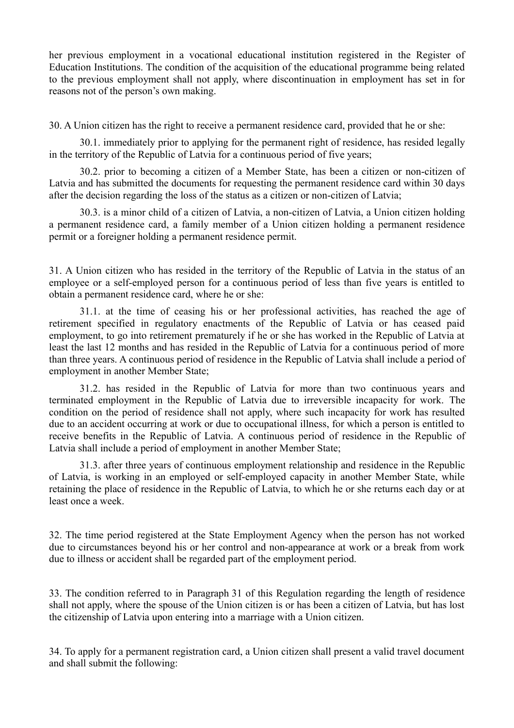her previous employment in a vocational educational institution registered in the Register of Education Institutions. The condition of the acquisition of the educational programme being related to the previous employment shall not apply, where discontinuation in employment has set in for reasons not of the person's own making.

30. A Union citizen has the right to receive a permanent residence card, provided that he or she:

30.1. immediately prior to applying for the permanent right of residence, has resided legally in the territory of the Republic of Latvia for a continuous period of five years;

30.2. prior to becoming a citizen of a Member State, has been a citizen or non-citizen of Latvia and has submitted the documents for requesting the permanent residence card within 30 days after the decision regarding the loss of the status as a citizen or non-citizen of Latvia;

30.3. is a minor child of a citizen of Latvia, a non-citizen of Latvia, a Union citizen holding a permanent residence card, a family member of a Union citizen holding a permanent residence permit or a foreigner holding a permanent residence permit.

31. A Union citizen who has resided in the territory of the Republic of Latvia in the status of an employee or a self-employed person for a continuous period of less than five years is entitled to obtain a permanent residence card, where he or she:

31.1. at the time of ceasing his or her professional activities, has reached the age of retirement specified in regulatory enactments of the Republic of Latvia or has ceased paid employment, to go into retirement prematurely if he or she has worked in the Republic of Latvia at least the last 12 months and has resided in the Republic of Latvia for a continuous period of more than three years. A continuous period of residence in the Republic of Latvia shall include a period of employment in another Member State;

31.2. has resided in the Republic of Latvia for more than two continuous years and terminated employment in the Republic of Latvia due to irreversible incapacity for work. The condition on the period of residence shall not apply, where such incapacity for work has resulted due to an accident occurring at work or due to occupational illness, for which a person is entitled to receive benefits in the Republic of Latvia. A continuous period of residence in the Republic of Latvia shall include a period of employment in another Member State;

31.3. after three years of continuous employment relationship and residence in the Republic of Latvia, is working in an employed or self-employed capacity in another Member State, while retaining the place of residence in the Republic of Latvia, to which he or she returns each day or at least once a week.

32. The time period registered at the State Employment Agency when the person has not worked due to circumstances beyond his or her control and non-appearance at work or a break from work due to illness or accident shall be regarded part of the employment period.

33. The condition referred to in Paragraph 31 of this Regulation regarding the length of residence shall not apply, where the spouse of the Union citizen is or has been a citizen of Latvia, but has lost the citizenship of Latvia upon entering into a marriage with a Union citizen.

34. To apply for a permanent registration card, a Union citizen shall present a valid travel document and shall submit the following: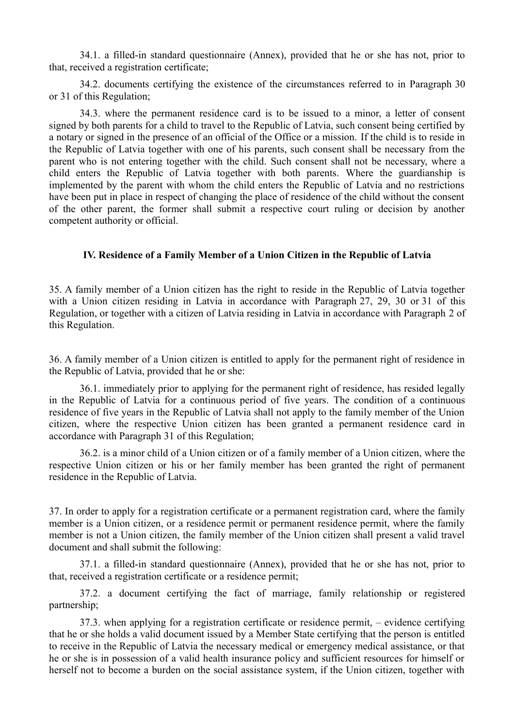34.1. a filled-in standard questionnaire (Annex), provided that he or she has not, prior to that, received a registration certificate;

34.2. documents certifying the existence of the circumstances referred to in Paragraph 30 or 31 of this Regulation;

34.3. where the permanent residence card is to be issued to a minor, a letter of consent signed by both parents for a child to travel to the Republic of Latvia, such consent being certified by a notary or signed in the presence of an official of the Office or a mission. If the child is to reside in the Republic of Latvia together with one of his parents, such consent shall be necessary from the parent who is not entering together with the child. Such consent shall not be necessary, where a child enters the Republic of Latvia together with both parents. Where the guardianship is implemented by the parent with whom the child enters the Republic of Latvia and no restrictions have been put in place in respect of changing the place of residence of the child without the consent of the other parent, the former shall submit a respective court ruling or decision by another competent authority or official.

#### **IV. Residence of a Family Member of a Union Citizen in the Republic of Latvia**

35. A family member of a Union citizen has the right to reside in the Republic of Latvia together with a Union citizen residing in Latvia in accordance with Paragraph 27, 29, 30 or 31 of this Regulation, or together with a citizen of Latvia residing in Latvia in accordance with Paragraph 2 of this Regulation.

36. A family member of a Union citizen is entitled to apply for the permanent right of residence in the Republic of Latvia, provided that he or she:

36.1. immediately prior to applying for the permanent right of residence, has resided legally in the Republic of Latvia for a continuous period of five years. The condition of a continuous residence of five years in the Republic of Latvia shall not apply to the family member of the Union citizen, where the respective Union citizen has been granted a permanent residence card in accordance with Paragraph 31 of this Regulation;

36.2. is a minor child of a Union citizen or of a family member of a Union citizen, where the respective Union citizen or his or her family member has been granted the right of permanent residence in the Republic of Latvia.

37. In order to apply for a registration certificate or a permanent registration card, where the family member is a Union citizen, or a residence permit or permanent residence permit, where the family member is not a Union citizen, the family member of the Union citizen shall present a valid travel document and shall submit the following:

37.1. a filled-in standard questionnaire (Annex), provided that he or she has not, prior to that, received a registration certificate or a residence permit;

37.2. a document certifying the fact of marriage, family relationship or registered partnership;

37.3. when applying for a registration certificate or residence permit, – evidence certifying that he or she holds a valid document issued by a Member State certifying that the person is entitled to receive in the Republic of Latvia the necessary medical or emergency medical assistance, or that he or she is in possession of a valid health insurance policy and sufficient resources for himself or herself not to become a burden on the social assistance system, if the Union citizen, together with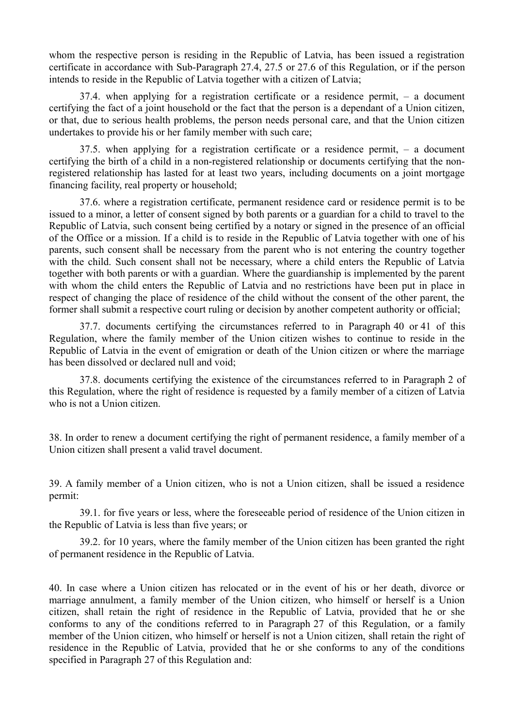whom the respective person is residing in the Republic of Latvia, has been issued a registration certificate in accordance with Sub-Paragraph 27.4, 27.5 or 27.6 of this Regulation, or if the person intends to reside in the Republic of Latvia together with a citizen of Latvia;

37.4. when applying for a registration certificate or a residence permit, – a document certifying the fact of a joint household or the fact that the person is a dependant of a Union citizen, or that, due to serious health problems, the person needs personal care, and that the Union citizen undertakes to provide his or her family member with such care;

37.5. when applying for a registration certificate or a residence permit, – a document certifying the birth of a child in a non-registered relationship or documents certifying that the nonregistered relationship has lasted for at least two years, including documents on a joint mortgage financing facility, real property or household;

37.6. where a registration certificate, permanent residence card or residence permit is to be issued to a minor, a letter of consent signed by both parents or a guardian for a child to travel to the Republic of Latvia, such consent being certified by a notary or signed in the presence of an official of the Office or a mission. If a child is to reside in the Republic of Latvia together with one of his parents, such consent shall be necessary from the parent who is not entering the country together with the child. Such consent shall not be necessary, where a child enters the Republic of Latvia together with both parents or with a guardian. Where the guardianship is implemented by the parent with whom the child enters the Republic of Latvia and no restrictions have been put in place in respect of changing the place of residence of the child without the consent of the other parent, the former shall submit a respective court ruling or decision by another competent authority or official;

37.7. documents certifying the circumstances referred to in Paragraph 40 or 41 of this Regulation, where the family member of the Union citizen wishes to continue to reside in the Republic of Latvia in the event of emigration or death of the Union citizen or where the marriage has been dissolved or declared null and void;

37.8. documents certifying the existence of the circumstances referred to in Paragraph 2 of this Regulation, where the right of residence is requested by a family member of a citizen of Latvia who is not a Union citizen.

38. In order to renew a document certifying the right of permanent residence, a family member of a Union citizen shall present a valid travel document.

39. A family member of a Union citizen, who is not a Union citizen, shall be issued a residence permit:

39.1. for five years or less, where the foreseeable period of residence of the Union citizen in the Republic of Latvia is less than five years; or

39.2. for 10 years, where the family member of the Union citizen has been granted the right of permanent residence in the Republic of Latvia.

40. In case where a Union citizen has relocated or in the event of his or her death, divorce or marriage annulment, a family member of the Union citizen, who himself or herself is a Union citizen, shall retain the right of residence in the Republic of Latvia, provided that he or she conforms to any of the conditions referred to in Paragraph 27 of this Regulation, or a family member of the Union citizen, who himself or herself is not a Union citizen, shall retain the right of residence in the Republic of Latvia, provided that he or she conforms to any of the conditions specified in Paragraph 27 of this Regulation and: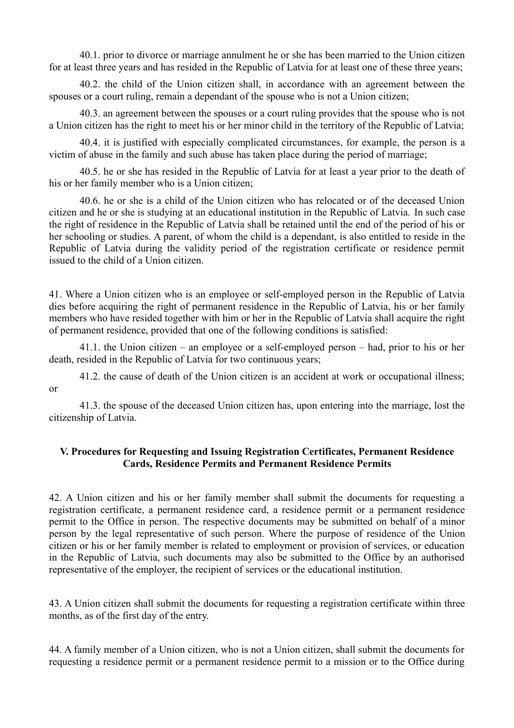40.1. prior to divorce or marriage annulment he or she has been married to the Union citizen for at least three years and has resided in the Republic of Latvia for at least one of these three years;

40.2. the child of the Union citizen shall, in accordance with an agreement between the spouses or a court ruling, remain a dependant of the spouse who is not a Union citizen;

40.3. an agreement between the spouses or a court ruling provides that the spouse who is not a Union citizen has the right to meet his or her minor child in the territory of the Republic of Latvia;

40.4. it is justified with especially complicated circumstances, for example, the person is a victim of abuse in the family and such abuse has taken place during the period of marriage;

40.5. he or she has resided in the Republic of Latvia for at least a year prior to the death of his or her family member who is a Union citizen;

40.6. he or she is a child of the Union citizen who has relocated or of the deceased Union citizen and he or she is studying at an educational institution in the Republic of Latvia. In such case the right of residence in the Republic of Latvia shall be retained until the end of the period of his or her schooling or studies. A parent, of whom the child is a dependant, is also entitled to reside in the Republic of Latvia during the validity period of the registration certificate or residence permit issued to the child of a Union citizen.

41. Where a Union citizen who is an employee or self-employed person in the Republic of Latvia dies before acquiring the right of permanent residence in the Republic of Latvia, his or her family members who have resided together with him or her in the Republic of Latvia shall acquire the right of permanent residence, provided that one of the following conditions is satisfied:

41.1. the Union citizen – an employee or a self-employed person – had, prior to his or her death, resided in the Republic of Latvia for two continuous years;

41.2. the cause of death of the Union citizen is an accident at work or occupational illness; or

41.3. the spouse of the deceased Union citizen has, upon entering into the marriage, lost the citizenship of Latvia.

#### **V. Procedures for Requesting and Issuing Registration Certificates, Permanent Residence Cards, Residence Permits and Permanent Residence Permits**

42. A Union citizen and his or her family member shall submit the documents for requesting a registration certificate, a permanent residence card, a residence permit or a permanent residence permit to the Office in person. The respective documents may be submitted on behalf of a minor person by the legal representative of such person. Where the purpose of residence of the Union citizen or his or her family member is related to employment or provision of services, or education in the Republic of Latvia, such documents may also be submitted to the Office by an authorised representative of the employer, the recipient of services or the educational institution.

43. A Union citizen shall submit the documents for requesting a registration certificate within three months, as of the first day of the entry.

44. A family member of a Union citizen, who is not a Union citizen, shall submit the documents for requesting a residence permit or a permanent residence permit to a mission or to the Office during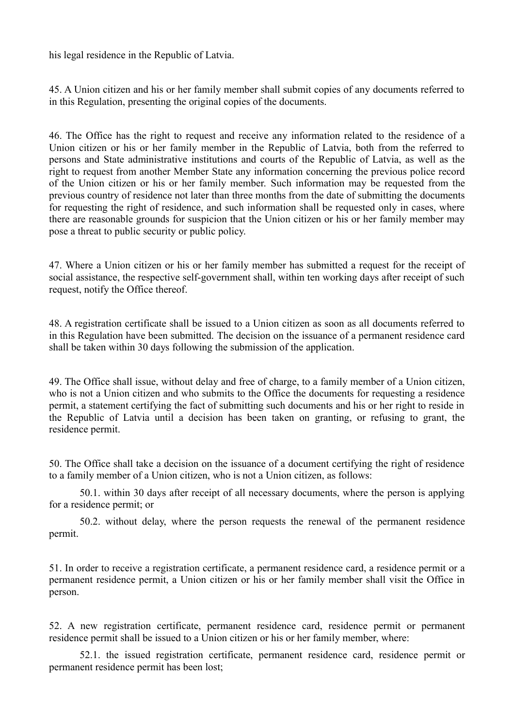his legal residence in the Republic of Latvia.

45. A Union citizen and his or her family member shall submit copies of any documents referred to in this Regulation, presenting the original copies of the documents.

46. The Office has the right to request and receive any information related to the residence of a Union citizen or his or her family member in the Republic of Latvia, both from the referred to persons and State administrative institutions and courts of the Republic of Latvia, as well as the right to request from another Member State any information concerning the previous police record of the Union citizen or his or her family member. Such information may be requested from the previous country of residence not later than three months from the date of submitting the documents for requesting the right of residence, and such information shall be requested only in cases, where there are reasonable grounds for suspicion that the Union citizen or his or her family member may pose a threat to public security or public policy.

47. Where a Union citizen or his or her family member has submitted a request for the receipt of social assistance, the respective self-government shall, within ten working days after receipt of such request, notify the Office thereof.

48. A registration certificate shall be issued to a Union citizen as soon as all documents referred to in this Regulation have been submitted. The decision on the issuance of a permanent residence card shall be taken within 30 days following the submission of the application.

49. The Office shall issue, without delay and free of charge, to a family member of a Union citizen, who is not a Union citizen and who submits to the Office the documents for requesting a residence permit, a statement certifying the fact of submitting such documents and his or her right to reside in the Republic of Latvia until a decision has been taken on granting, or refusing to grant, the residence permit.

50. The Office shall take a decision on the issuance of a document certifying the right of residence to a family member of a Union citizen, who is not a Union citizen, as follows:

50.1. within 30 days after receipt of all necessary documents, where the person is applying for a residence permit; or

50.2. without delay, where the person requests the renewal of the permanent residence permit.

51. In order to receive a registration certificate, a permanent residence card, a residence permit or a permanent residence permit, a Union citizen or his or her family member shall visit the Office in person.

52. A new registration certificate, permanent residence card, residence permit or permanent residence permit shall be issued to a Union citizen or his or her family member, where:

52.1. the issued registration certificate, permanent residence card, residence permit or permanent residence permit has been lost;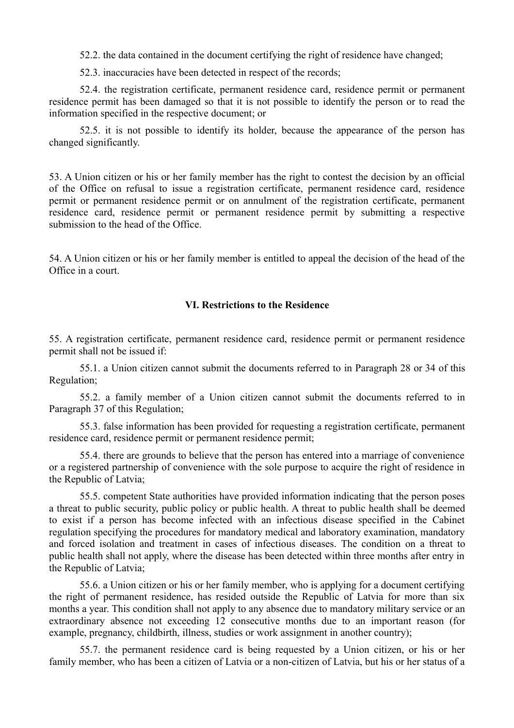52.2. the data contained in the document certifying the right of residence have changed;

52.3. inaccuracies have been detected in respect of the records;

52.4. the registration certificate, permanent residence card, residence permit or permanent residence permit has been damaged so that it is not possible to identify the person or to read the information specified in the respective document; or

52.5. it is not possible to identify its holder, because the appearance of the person has changed significantly.

53. A Union citizen or his or her family member has the right to contest the decision by an official of the Office on refusal to issue a registration certificate, permanent residence card, residence permit or permanent residence permit or on annulment of the registration certificate, permanent residence card, residence permit or permanent residence permit by submitting a respective submission to the head of the Office.

54. A Union citizen or his or her family member is entitled to appeal the decision of the head of the Office in a court.

#### **VI. Restrictions to the Residence**

55. A registration certificate, permanent residence card, residence permit or permanent residence permit shall not be issued if:

55.1. a Union citizen cannot submit the documents referred to in Paragraph 28 or 34 of this Regulation;

55.2. a family member of a Union citizen cannot submit the documents referred to in Paragraph 37 of this Regulation;

55.3. false information has been provided for requesting a registration certificate, permanent residence card, residence permit or permanent residence permit;

55.4. there are grounds to believe that the person has entered into a marriage of convenience or a registered partnership of convenience with the sole purpose to acquire the right of residence in the Republic of Latvia;

55.5. competent State authorities have provided information indicating that the person poses a threat to public security, public policy or public health. A threat to public health shall be deemed to exist if a person has become infected with an infectious disease specified in the Cabinet regulation specifying the procedures for mandatory medical and laboratory examination, mandatory and forced isolation and treatment in cases of infectious diseases. The condition on a threat to public health shall not apply, where the disease has been detected within three months after entry in the Republic of Latvia;

55.6. a Union citizen or his or her family member, who is applying for a document certifying the right of permanent residence, has resided outside the Republic of Latvia for more than six months a year. This condition shall not apply to any absence due to mandatory military service or an extraordinary absence not exceeding 12 consecutive months due to an important reason (for example, pregnancy, childbirth, illness, studies or work assignment in another country);

55.7. the permanent residence card is being requested by a Union citizen, or his or her family member, who has been a citizen of Latvia or a non-citizen of Latvia, but his or her status of a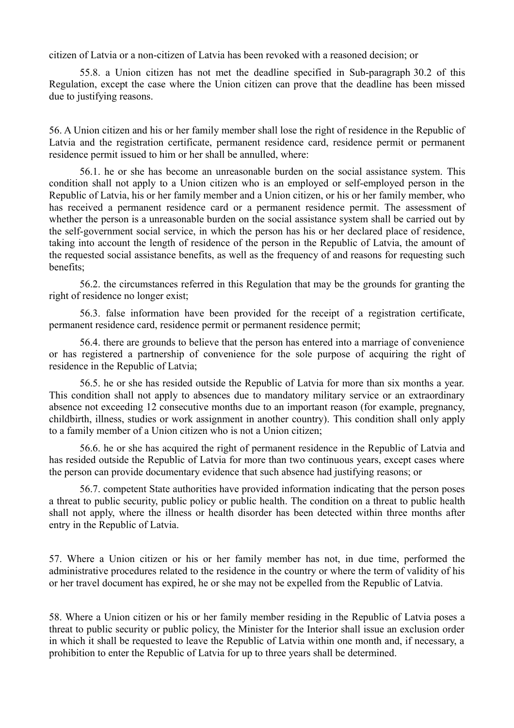citizen of Latvia or a non-citizen of Latvia has been revoked with a reasoned decision; or

55.8. a Union citizen has not met the deadline specified in Sub-paragraph 30.2 of this Regulation, except the case where the Union citizen can prove that the deadline has been missed due to justifying reasons.

56. A Union citizen and his or her family member shall lose the right of residence in the Republic of Latvia and the registration certificate, permanent residence card, residence permit or permanent residence permit issued to him or her shall be annulled, where:

56.1. he or she has become an unreasonable burden on the social assistance system. This condition shall not apply to a Union citizen who is an employed or self-employed person in the Republic of Latvia, his or her family member and a Union citizen, or his or her family member, who has received a permanent residence card or a permanent residence permit. The assessment of whether the person is a unreasonable burden on the social assistance system shall be carried out by the self-government social service, in which the person has his or her declared place of residence, taking into account the length of residence of the person in the Republic of Latvia, the amount of the requested social assistance benefits, as well as the frequency of and reasons for requesting such benefits;

56.2. the circumstances referred in this Regulation that may be the grounds for granting the right of residence no longer exist;

56.3. false information have been provided for the receipt of a registration certificate, permanent residence card, residence permit or permanent residence permit;

56.4. there are grounds to believe that the person has entered into a marriage of convenience or has registered a partnership of convenience for the sole purpose of acquiring the right of residence in the Republic of Latvia;

56.5. he or she has resided outside the Republic of Latvia for more than six months a year. This condition shall not apply to absences due to mandatory military service or an extraordinary absence not exceeding 12 consecutive months due to an important reason (for example, pregnancy, childbirth, illness, studies or work assignment in another country). This condition shall only apply to a family member of a Union citizen who is not a Union citizen;

56.6. he or she has acquired the right of permanent residence in the Republic of Latvia and has resided outside the Republic of Latvia for more than two continuous years, except cases where the person can provide documentary evidence that such absence had justifying reasons; or

56.7. competent State authorities have provided information indicating that the person poses a threat to public security, public policy or public health. The condition on a threat to public health shall not apply, where the illness or health disorder has been detected within three months after entry in the Republic of Latvia.

57. Where a Union citizen or his or her family member has not, in due time, performed the administrative procedures related to the residence in the country or where the term of validity of his or her travel document has expired, he or she may not be expelled from the Republic of Latvia.

58. Where a Union citizen or his or her family member residing in the Republic of Latvia poses a threat to public security or public policy, the Minister for the Interior shall issue an exclusion order in which it shall be requested to leave the Republic of Latvia within one month and, if necessary, a prohibition to enter the Republic of Latvia for up to three years shall be determined.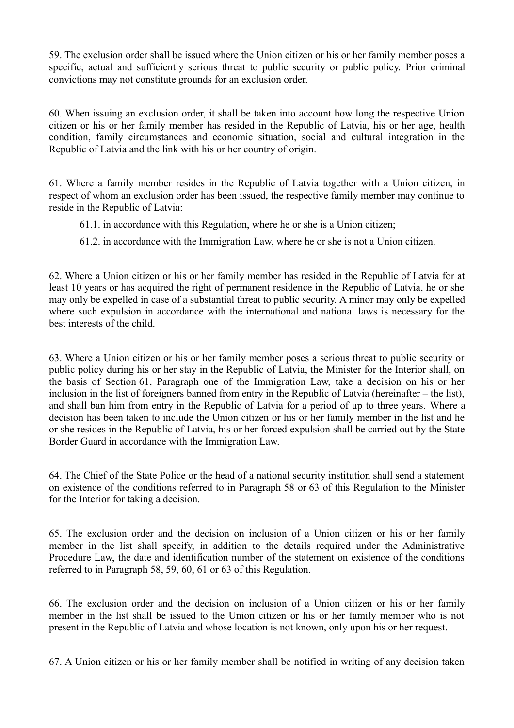59. The exclusion order shall be issued where the Union citizen or his or her family member poses a specific, actual and sufficiently serious threat to public security or public policy. Prior criminal convictions may not constitute grounds for an exclusion order.

60. When issuing an exclusion order, it shall be taken into account how long the respective Union citizen or his or her family member has resided in the Republic of Latvia, his or her age, health condition, family circumstances and economic situation, social and cultural integration in the Republic of Latvia and the link with his or her country of origin.

61. Where a family member resides in the Republic of Latvia together with a Union citizen, in respect of whom an exclusion order has been issued, the respective family member may continue to reside in the Republic of Latvia:

61.1. in accordance with this Regulation, where he or she is a Union citizen;

61.2. in accordance with the Immigration Law, where he or she is not a Union citizen.

62. Where a Union citizen or his or her family member has resided in the Republic of Latvia for at least 10 years or has acquired the right of permanent residence in the Republic of Latvia, he or she may only be expelled in case of a substantial threat to public security. A minor may only be expelled where such expulsion in accordance with the international and national laws is necessary for the best interests of the child.

63. Where a Union citizen or his or her family member poses a serious threat to public security or public policy during his or her stay in the Republic of Latvia, the Minister for the Interior shall, on the basis of Section 61, Paragraph one of the Immigration Law, take a decision on his or her inclusion in the list of foreigners banned from entry in the Republic of Latvia (hereinafter – the list), and shall ban him from entry in the Republic of Latvia for a period of up to three years. Where a decision has been taken to include the Union citizen or his or her family member in the list and he or she resides in the Republic of Latvia, his or her forced expulsion shall be carried out by the State Border Guard in accordance with the Immigration Law.

64. The Chief of the State Police or the head of a national security institution shall send a statement on existence of the conditions referred to in Paragraph 58 or 63 of this Regulation to the Minister for the Interior for taking a decision.

65. The exclusion order and the decision on inclusion of a Union citizen or his or her family member in the list shall specify, in addition to the details required under the Administrative Procedure Law, the date and identification number of the statement on existence of the conditions referred to in Paragraph 58, 59, 60, 61 or 63 of this Regulation.

66. The exclusion order and the decision on inclusion of a Union citizen or his or her family member in the list shall be issued to the Union citizen or his or her family member who is not present in the Republic of Latvia and whose location is not known, only upon his or her request.

67. A Union citizen or his or her family member shall be notified in writing of any decision taken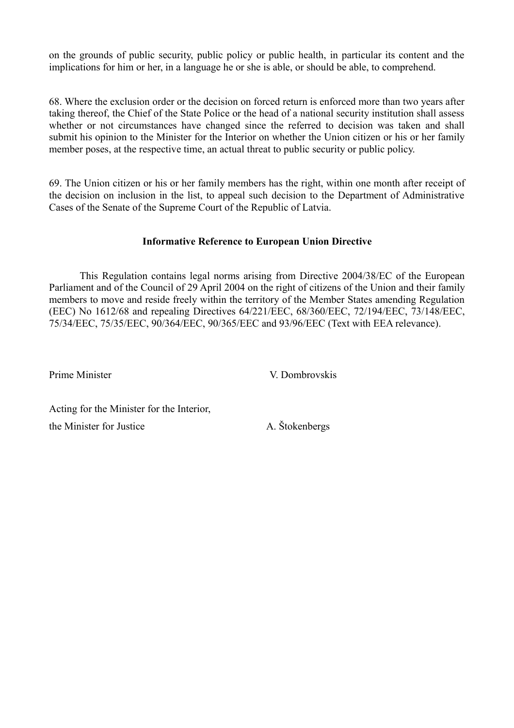on the grounds of public security, public policy or public health, in particular its content and the implications for him or her, in a language he or she is able, or should be able, to comprehend.

68. Where the exclusion order or the decision on forced return is enforced more than two years after taking thereof, the Chief of the State Police or the head of a national security institution shall assess whether or not circumstances have changed since the referred to decision was taken and shall submit his opinion to the Minister for the Interior on whether the Union citizen or his or her family member poses, at the respective time, an actual threat to public security or public policy.

69. The Union citizen or his or her family members has the right, within one month after receipt of the decision on inclusion in the list, to appeal such decision to the Department of Administrative Cases of the Senate of the Supreme Court of the Republic of Latvia.

## **Informative Reference to European Union Directive**

This Regulation contains legal norms arising from Directive 2004/38/EC of the European Parliament and of the Council of 29 April 2004 on the right of citizens of the Union and their family members to move and reside freely within the territory of the Member States amending Regulation (EEC) No 1612/68 and repealing Directives 64/221/EEC, 68/360/EEC, 72/194/EEC, 73/148/EEC, 75/34/EEC, 75/35/EEC, 90/364/EEC, 90/365/EEC and 93/96/EEC (Text with EEA relevance).

Prime Minister V. Dombrovskis

Acting for the Minister for the Interior, the Minister for Justice A. Štokenbergs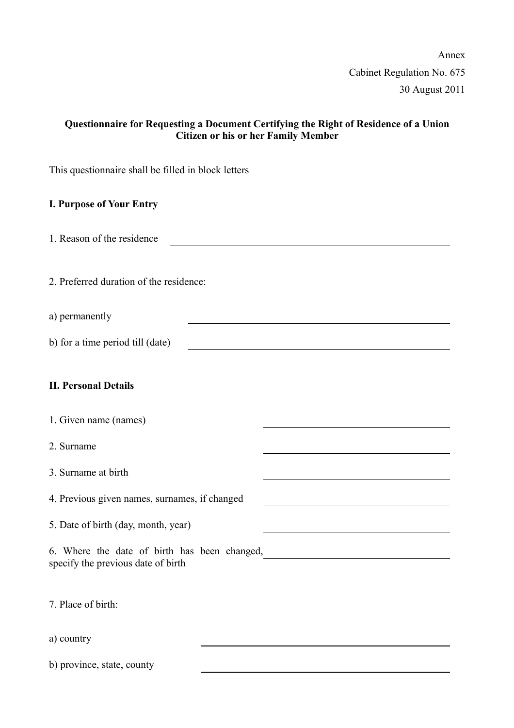Annex Cabinet Regulation No. 675 30 August 2011

## **Questionnaire for Requesting a Document Certifying the Right of Residence of a Union Citizen or his or her Family Member**

This questionnaire shall be filled in block letters

#### **I. Purpose of Your Entry**

1. Reason of the residence

2. Preferred duration of the residence:

- a) permanently
- b) for a time period till (date)

#### **II. Personal Details**

2. Surname

3. Surname at birth

4. Previous given names, surnames, if changed

5. Date of birth (day, month, year)

6. Where the date of birth has been changed, specify the previous date of birth

7. Place of birth:

a) country

b) province, state, county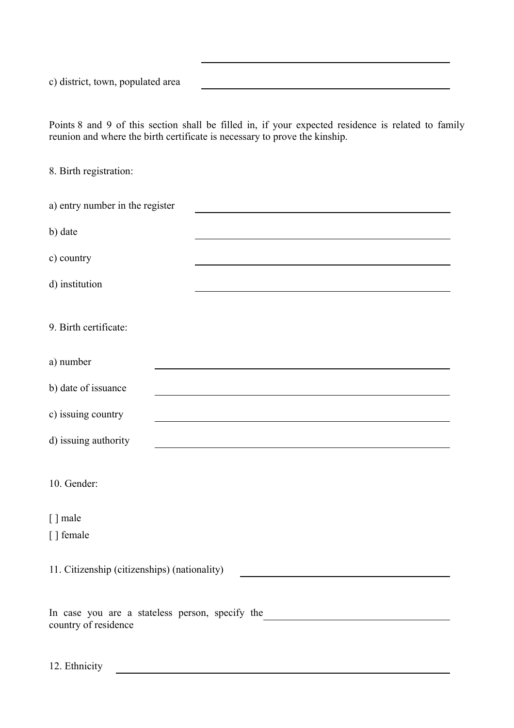c) district, town, populated area

Points 8 and 9 of this section shall be filled in, if your expected residence is related to family reunion and where the birth certificate is necessary to prove the kinship.

8. Birth registration:

| a) entry number in the register                 |
|-------------------------------------------------|
| b) date                                         |
| c) country                                      |
| d) institution                                  |
|                                                 |
| 9. Birth certificate:                           |
| a) number                                       |
| b) date of issuance                             |
| c) issuing country                              |
| d) issuing authority                            |
|                                                 |
| 10. Gender:                                     |
| [] male                                         |
| [] female                                       |
| 11. Citizenship (citizenships) (nationality)    |
|                                                 |
| In case you are a stateless person, specify the |
| country of residence                            |

12. Ethnicity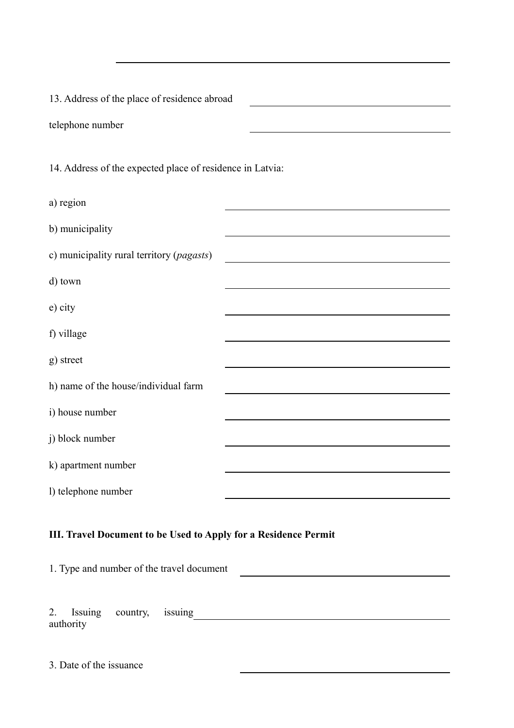13. Address of the place of residence abroad telephone number 14. Address of the expected place of residence in Latvia: a) region b) municipality c) municipality rural territory (*pagasts*) d) town e) city f) village g) street h) name of the house/individual farm i) house number j) block number k) apartment number l) telephone number

## **III. Travel Document to be Used to Apply for a Residence Permit**

1. Type and number of the travel document

2. Issuing country, issuing <u>country</u> authority

3. Date of the issuance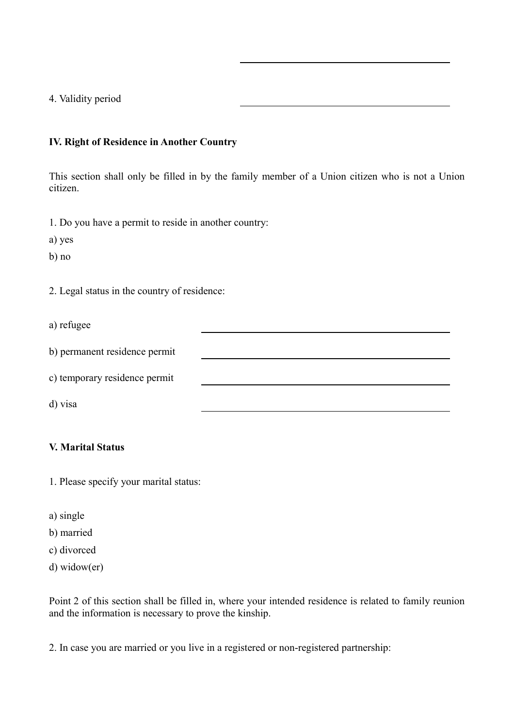4. Validity period

#### **IV. Right of Residence in Another Country**

This section shall only be filled in by the family member of a Union citizen who is not a Union citizen.

1. Do you have a permit to reside in another country:

a) yes

b) no

2. Legal status in the country of residence:

a) refugee

| b) permanent residence permit |  |
|-------------------------------|--|
| c) temporary residence permit |  |

d) visa

## **V. Marital Status**

- 1. Please specify your marital status:
- a) single
- b) married
- c) divorced
- d) widow(er)

Point 2 of this section shall be filled in, where your intended residence is related to family reunion and the information is necessary to prove the kinship.

2. In case you are married or you live in a registered or non-registered partnership: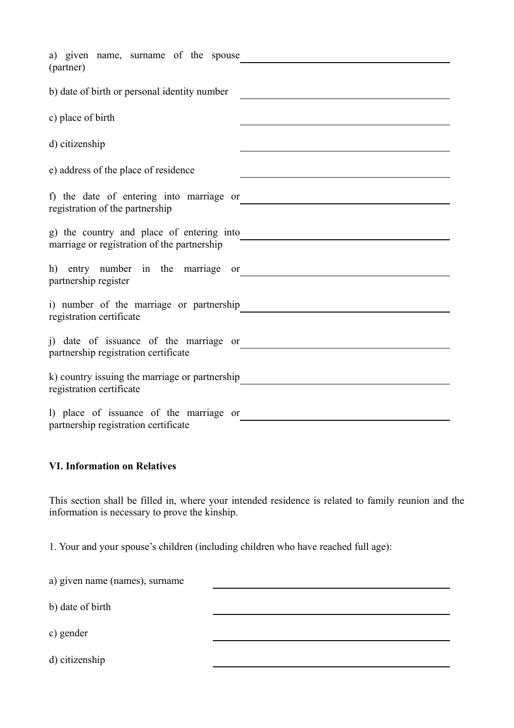| a) given name, surname of the spouse                                        |
|-----------------------------------------------------------------------------|
| (partner)                                                                   |
| b) date of birth or personal identity number                                |
|                                                                             |
| c) place of birth                                                           |
| d) citizenship                                                              |
| e) address of the place of residence                                        |
|                                                                             |
| f) the date of entering into marriage or<br>registration of the partnership |
| g) the country and place of entering into                                   |
| marriage or registration of the partnership                                 |
| h) entry number in the marriage or                                          |
| partnership register                                                        |
| i) number of the marriage or partnership                                    |
| registration certificate                                                    |
| i) date of issuance of the marriage or                                      |
| partnership registration certificate                                        |
| k) country issuing the marriage or partnership                              |
| registration certificate                                                    |
| 1) place of issuance of the marriage or                                     |
| partnership registration certificate                                        |

## **VI. Information on Relatives**

This section shall be filled in, where your intended residence is related to family reunion and the information is necessary to prove the kinship.

1. Your and your spouse's children (including children who have reached full age):

| a) given name (names), surname |  |
|--------------------------------|--|
| b) date of birth               |  |
| c) gender                      |  |
| d) citizenship                 |  |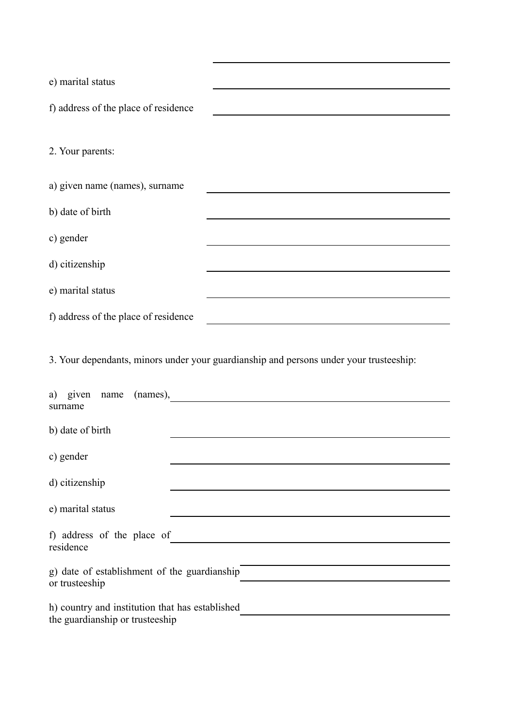| e) marital status                                                                  |                                                                                        |
|------------------------------------------------------------------------------------|----------------------------------------------------------------------------------------|
| f) address of the place of residence                                               |                                                                                        |
| 2. Your parents:                                                                   |                                                                                        |
| a) given name (names), surname                                                     |                                                                                        |
| b) date of birth                                                                   |                                                                                        |
| c) gender                                                                          |                                                                                        |
| d) citizenship                                                                     |                                                                                        |
| e) marital status                                                                  |                                                                                        |
| f) address of the place of residence                                               |                                                                                        |
|                                                                                    | 3. Your dependants, minors under your guardianship and persons under your trusteeship: |
| a) given name<br>surname                                                           | ${\frac{(names)}{\cdot}}$                                                              |
| b) date of birth                                                                   |                                                                                        |
| c) gender                                                                          |                                                                                        |
| d) citizenship                                                                     |                                                                                        |
| e) marital status                                                                  |                                                                                        |
| f) address of the place of<br>residence                                            | <u> 1989 - Jan Stein, amerikansk politiker (</u>                                       |
| g) date of establishment of the guardianship<br>or trusteeship                     |                                                                                        |
| h) country and institution that has established<br>the guardianship or trusteeship |                                                                                        |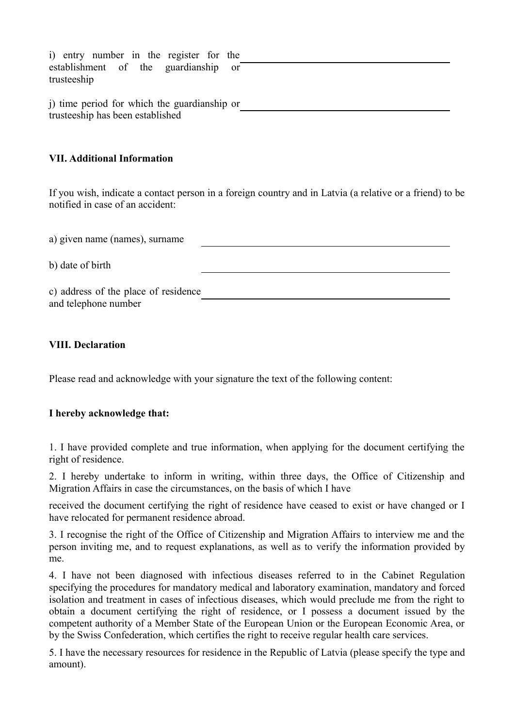i) entry number in the register for the establishment of the guardianship or trusteeship j) time period for which the guardianship or trusteeship has been established

#### **VII. Additional Information**

If you wish, indicate a contact person in a foreign country and in Latvia (a relative or a friend) to be notified in case of an accident:

| a) given name (names), surname                               |  |
|--------------------------------------------------------------|--|
| b) date of birth                                             |  |
| c) address of the place of residence<br>and telephone number |  |

#### **VIII. Declaration**

Please read and acknowledge with your signature the text of the following content:

#### **I hereby acknowledge that:**

1. I have provided complete and true information, when applying for the document certifying the right of residence.

2. I hereby undertake to inform in writing, within three days, the Office of Citizenship and Migration Affairs in case the circumstances, on the basis of which I have

received the document certifying the right of residence have ceased to exist or have changed or I have relocated for permanent residence abroad.

3. I recognise the right of the Office of Citizenship and Migration Affairs to interview me and the person inviting me, and to request explanations, as well as to verify the information provided by me.

4. I have not been diagnosed with infectious diseases referred to in the Cabinet Regulation specifying the procedures for mandatory medical and laboratory examination, mandatory and forced isolation and treatment in cases of infectious diseases, which would preclude me from the right to obtain a document certifying the right of residence, or I possess a document issued by the competent authority of a Member State of the European Union or the European Economic Area, or by the Swiss Confederation, which certifies the right to receive regular health care services.

5. I have the necessary resources for residence in the Republic of Latvia (please specify the type and amount).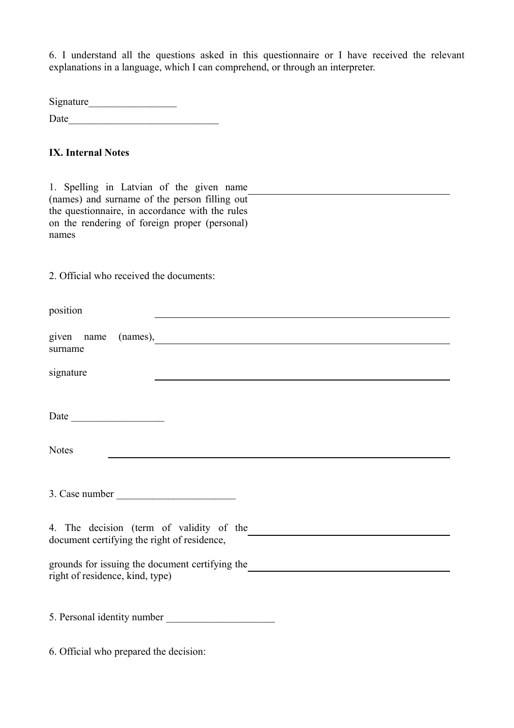6. I understand all the questions asked in this questionnaire or I have received the relevant explanations in a language, which I can comprehend, or through an interpreter.

Signature\_\_\_\_\_\_\_\_\_\_\_\_\_\_\_\_\_ Date

## **IX. Internal Notes**

1. Spelling in Latvian of the given name (names) and surname of the person filling out the questionnaire, in accordance with the rules on the rendering of foreign proper (personal) names

2. Official who received the documents:

| position                                                                                |
|-----------------------------------------------------------------------------------------|
| given name (names),<br>surname                                                          |
| signature                                                                               |
|                                                                                         |
| Date                                                                                    |
| <b>Notes</b>                                                                            |
|                                                                                         |
| 4. The decision (term of validity of the<br>document certifying the right of residence, |
| grounds for issuing the document certifying the<br>right of residence, kind, type)      |
| 5. Personal identity number                                                             |

6. Official who prepared the decision: